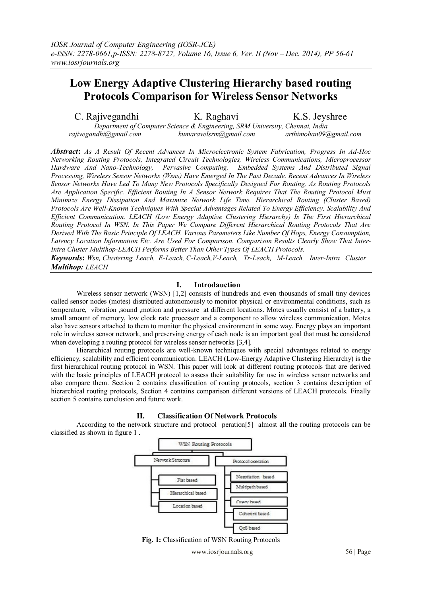# **Low Energy Adaptive Clustering Hierarchy based routing Protocols Comparison for Wireless Sensor Networks**

C. Rajivegandhi K. Raghavi K.S. Jeyshree *Department of Computer Science & Engineering, SRM University, Chennai, India*

 *rajivegandhi@gmail.com kumaravelsrm@gmail.com arthimohan09@gmail.com*

*Abstract***:** *As A Result Of Recent Advances In Microelectronic System Fabrication, Progress In Ad-Hoc Networking Routing Protocols, Integrated Circuit Technologies, Wireless Communications, Microprocessor Pervasive Computing, Embedded Systems And Distributed Signal Processing, Wireless Sensor Networks (Wsns) Have Emerged In The Past Decade. Recent Advances In Wireless Sensor Networks Have Led To Many New Protocols Specifically Designed For Routing, As Routing Protocols Are Application Specific. Efficient Routing In A Sensor Network Requires That The Routing Protocol Must Minimize Energy Dissipation And Maximize Network Life Time. Hierarchical Routing (Cluster Based) Protocols Are Well-Known Techniques With Special Advantages Related To Energy Efficiency, Scalability And Efficient Communication. LEACH (Low Energy Adaptive Clustering Hierarchy) Is The First Hierarchical Routing Protocol In WSN. In This Paper We Compare Different Hierarchical Routing Protocols That Are Derived With The Basic Principle Of LEACH. Various Parameters Like Number Of Hops, Energy Consumption, Latency Location Information Etc. Are Used For Comparison. Comparison Results Clearly Show That Inter-Intra Cluster Multihop-LEACH Performs Better Than Other Types Of LEACH Protocols.*

*Keywords***:** *Wsn, Clustering, Leach, E-Leach, C-Leach,V-Leach, Tr-Leach, M-Leach, Inter-Intra Cluster Multihop: LEACH*

# **I. Introdauction**

Wireless sensor network (WSN) [1,2] consists of hundreds and even thousands of small tiny devices called sensor nodes (motes) distributed autonomously to monitor physical or environmental conditions, such as temperature, vibration ,sound ,motion and pressure at different locations. Motes usually consist of a battery, a small amount of memory, low clock rate processor and a component to allow wireless communication. Motes also have sensors attached to them to monitor the physical environment in some way. Energy plays an important role in wireless sensor network, and preserving energy of each node is an important goal that must be considered when developing a routing protocol for wireless sensor networks [3,4].

Hierarchical routing protocols are well-known techniques with special advantages related to energy efficiency, scalability and efficient communication. LEACH (Low-Energy Adaptive Clustering Hierarchy) is the first hierarchical routing protocol in WSN. This paper will look at different routing protocols that are derived with the basic principles of LEACH protocol to assess their suitability for use in wireless sensor networks and also compare them. Section 2 contains classification of routing protocols, section 3 contains description of hierarchical routing protocols, Section 4 contains comparison different versions of LEACH protocols. Finally section 5 contains conclusion and future work.



According to the network structure and protocol peration[5] almost all the routing protocols can be classified as shown in figure 1 .



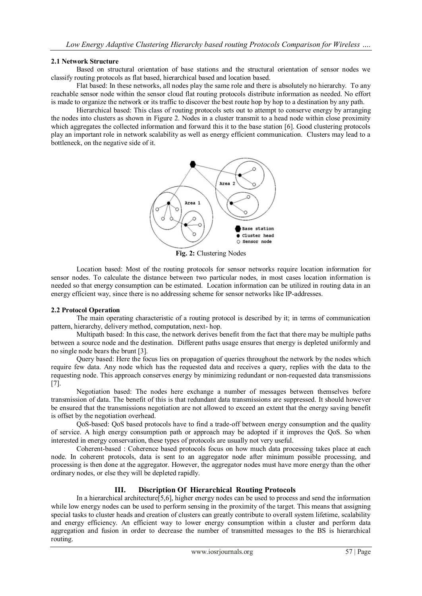#### **2.1 Network Structure**

Based on structural orientation of base stations and the structural orientation of sensor nodes we classify routing protocols as flat based, hierarchical based and location based.

Flat based: In these networks, all nodes play the same role and there is absolutely no hierarchy. To any reachable sensor node within the sensor cloud flat routing protocols distribute information as needed. No effort is made to organize the network or its traffic to discover the best route hop by hop to a destination by any path.

Hierarchical based: This class of routing protocols sets out to attempt to conserve energy by arranging the nodes into clusters as shown in Figure 2. Nodes in a cluster transmit to a head node within close proximity which aggregates the collected information and forward this it to the base station [6]. Good clustering protocols play an important role in network scalability as well as energy efficient communication. Clusters may lead to a bottleneck, on the negative side of it.



**Fig. 2:** Clustering Nodes

Location based: Most of the routing protocols for sensor networks require location information for sensor nodes. To calculate the distance between two particular nodes, in most cases location information is needed so that energy consumption can be estimated. Location information can be utilized in routing data in an energy efficient way, since there is no addressing scheme for sensor networks like IP-addresses.

# **2.2 Protocol Operation**

The main operating characteristic of a routing protocol is described by it; in terms of communication pattern, hierarchy, delivery method, computation, next- hop.

Multipath based: In this case, the network derives benefit from the fact that there may be multiple paths between a source node and the destination. Different paths usage ensures that energy is depleted uniformly and no single node bears the brunt [3].

Query based: Here the focus lies on propagation of queries throughout the network by the nodes which require few data. Any node which has the requested data and receives a query, replies with the data to the requesting node. This approach conserves energy by minimizing redundant or non-requested data transmissions [7].

Negotiation based: The nodes here exchange a number of messages between themselves before transmission of data. The benefit of this is that redundant data transmissions are suppressed. It should however be ensured that the transmissions negotiation are not allowed to exceed an extent that the energy saving benefit is offset by the negotiation overhead.

QoS-based: QoS based protocols have to find a trade-off between energy consumption and the quality of service. A high energy consumption path or approach may be adopted if it improves the QoS. So when interested in energy conservation, these types of protocols are usually not very useful.

Coherent-based : Coherence based protocols focus on how much data processing takes place at each node. In coherent protocols, data is sent to an aggregator node after minimum possible processing, and processing is then done at the aggregator. However, the aggregator nodes must have more energy than the other ordinary nodes, or else they will be depleted rapidly.

# **III. Discription Of Hierarchical Routing Protocols**

In a hierarchical architecture[5,6], higher energy nodes can be used to process and send the information while low energy nodes can be used to perform sensing in the proximity of the target. This means that assigning special tasks to cluster heads and creation of clusters can greatly contribute to overall system lifetime, scalability and energy efficiency. An efficient way to lower energy consumption within a cluster and perform data aggregation and fusion in order to decrease the number of transmitted messages to the BS is hierarchical routing.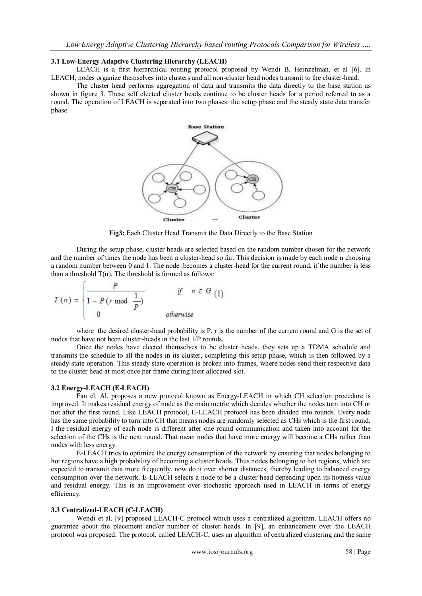#### **3.1 Low-Energy Adaptive Clustering Hierarchy (LEACH)**

LEACH is a first hierarchical routing protocol proposed by Wendi B. Heinzelman, et al [6]. In LEACH, nodes organize themselves into clusters and all non-cluster head nodes transmit to the cluster-head.

The cluster head performs aggregation of data and transmits the data directly to the base station as shown in figure 3. These self elected cluster heads continue to be cluster heads for a period referred to as a round. The operation of LEACH is separated into two phases: the setup phase and the steady state data transfer phase.



**Fig3:** Each Cluster Head Transmit the Data Directly to the Base Station

During the setup phase, cluster heads are selected based on the random number chosen for the network and the number of times the node has been a cluster-head so far. This decision is made by each node n choosing a random number between 0 and 1. The node ,becomes a cluster-head for the current round, if the number is less than a threshold  $T(n)$ . The threshold is formed as follows:

$$
T(n) = \begin{cases} \frac{P}{1 - P(r \mod \frac{1}{P})} & \text{if } n \in G\\ 1 & \text{otherwise} \end{cases}
$$

where the desired cluster-head probability is P, r is the number of the current round and G is the set of nodes that have not been cluster-heads in the last 1/P rounds.

Once the nodes have elected themselves to be cluster heads, they sets up a TDMA schedule and transmits the schedule to all the nodes in its cluster, completing this setup phase, which is then followed by a steady-state operation. This steady state operation is broken into frames, where nodes send their respective data to the cluster head at most once per frame during their allocated slot.

#### **3.2 Energy-LEACH (E-LEACH)**

Fan el. Al. proposes a new protocol known as Energy-LEACH in which CH selection procedure is improved. It makes residual energy of node as the main metric which decides whether the nodes turn into CH or not after the first round. Like LEACH protocol, E-LEACH protocol has been divided into rounds. Every node has the same probability to turn into CH that means nodes are randomly selected as CHs which is the first round. I the residual energy of each node is different after one round communication and taken into account for the selection of the CHs is the next round. That mean nodes that have more energy will become a CHs rather than nodes with less energy.

E-LEACH tries to optimize the energy consumption of the network by ensuring that nodes belonging to hot regions have a high probability of becoming a cluster heads. Thus nodes belonging to hot regions, which are expected to transmit data more frequently, now do it over shorter distances, thereby leading to balanced energy consumption over the network. E-LEACH selects a node to be a cluster head depending upon its hotness value and residual energy. This is an improvement over stochastic approach used in LEACH in terms of energy efficiency.

#### **3.3 Centralized-LEACH (C-LEACH)**

Wendi et al. [9] proposed LEACH-C protocol which uses a centralized algorithm. LEACH offers no guarantee about the placement and/or number of cluster heads. In [9], an enhancement over the LEACH protocol was proposed. The protocol, called LEACH-C, uses an algorithm of centralized clustering and the same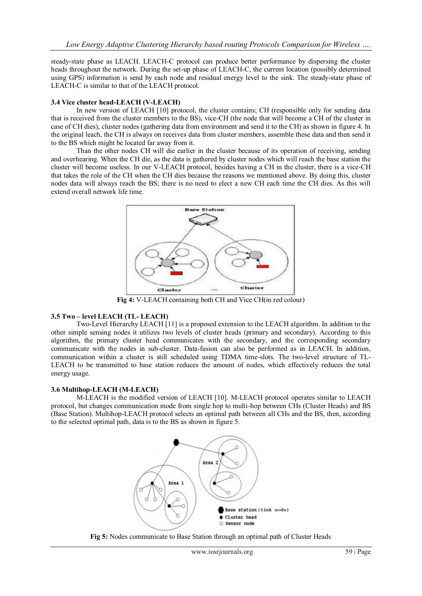steady-state phase as LEACH. LEACH-C protocol can produce better performance by dispersing the cluster heads throughout the network. During the set-up phase of LEACH-C, the current location (possibly determined using GPS) information is send by each node and residual energy level to the sink. The steady-state phase of LEACH-C is similar to that of the LEACH protocol.

# **3.4 Vice cluster head-LEACH (V-LEACH)**

In new version of LEACH [10] protocol, the cluster contains; CH (responsible only for sending data that is received from the cluster members to the BS), vice-CH (the node that will become a CH of the cluster in case of CH dies), cluster nodes (gathering data from environment and send it to the CH) as shown in figure 4. In the original leach, the CH is always on receives data from cluster members, assemble these data and then send it to the BS which might be located far away from it.

Than the other nodes CH will die earlier in the cluster because of its operation of receiving, sending and overhearing. When the CH die, as the data is gathered by cluster nodes which will reach the base station the cluster will become useless. In our V-LEACH protocol, besides having a CH in the cluster, there is a vice-CH that takes the role of the CH when the CH dies because the reasons we mentioned above. By doing this, cluster nodes data will always reach the BS; there is no need to elect a new CH each time the CH dies. As this will extend overall network life time.



**Fig 4:** V-LEACH containing both CH and Vice CH(in red colour)

# **3.5 Two – level LEACH (TL- LEACH)**

Two-Level Hierarchy LEACH [11] is a proposed extension to the LEACH algorithm. In addition to the other simple sensing nodes it utilizes two levels of cluster heads (primary and secondary). According to this algorithm, the primary cluster head communicates with the secondary, and the corresponding secondary communicate with the nodes in sub-cluster. Data-fusion can also be performed as in LEACH. In addition, communication within a cluster is still scheduled using TDMA time-slots. The two-level structure of TL-LEACH to be transmitted to base station reduces the amount of nodes, which effectively reduces the total energy usage.

#### **3.6 Multihop-LEACH (M-LEACH)**

M-LEACH is the modified version of LEACH [10]. M-LEACH protocol operates similar to LEACH protocol, but changes communication mode from single hop to multi-hop between CHs (Cluster Heads) and BS (Base Station). Multihop-LEACH protocol selects an optimal path between all CHs and the BS, then, according to the selected optimal path, data is to the BS as shown in figure 5.



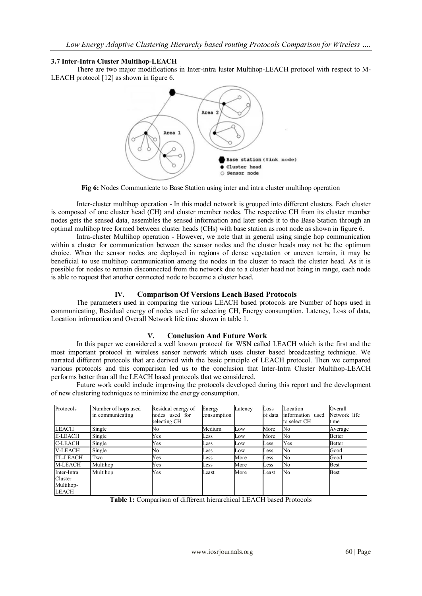# **3.7 Inter-Intra Cluster Multihop-LEACH**

There are two major modifications in Inter-intra luster Multihop-LEACH protocol with respect to M-LEACH protocol [12] as shown in figure 6.



**Fig 6:** Nodes Communicate to Base Station using inter and intra cluster multihop operation

Inter-cluster multihop operation - In this model network is grouped into different clusters. Each cluster is composed of one cluster head (CH) and cluster member nodes. The respective CH from its cluster member nodes gets the sensed data, assembles the sensed information and later sends it to the Base Station through an optimal multihop tree formed between cluster heads (CHs) with base station as root node as shown in figure 6.

Intra-cluster Multihop operation - However, we note that in general using single hop communication within a cluster for communication between the sensor nodes and the cluster heads may not be the optimum choice. When the sensor nodes are deployed in regions of dense vegetation or uneven terrain, it may be beneficial to use multihop communication among the nodes in the cluster to reach the cluster head. As it is possible for nodes to remain disconnected from the network due to a cluster head not being in range, each node is able to request that another connected node to become a cluster head.

# **IV. Comparison Of Versions Leach Based Protocols**

The parameters used in comparing the various LEACH based protocols are Number of hops used in communicating, Residual energy of nodes used for selecting CH, Energy consumption, Latency, Loss of data, Location information and Overall Network life time shown in table 1.

# **V. Conclusion And Future Work**

In this paper we considered a well known protocol for WSN called LEACH which is the first and the most important protocol in wireless sensor network which uses cluster based broadcasting technique. We narrated different protocols that are derived with the basic principle of LEACH protocol. Then we compared various protocols and this comparison led us to the conclusion that Inter-Intra Cluster Multihop-LEACH performs better than all the LEACH based protocols that we considered.

Future work could include improving the protocols developed during this report and the development of new clustering techniques to minimize the energy consumption.

| Protocols                                    | Number of hops used<br>in communicating | Residual energy of<br>nodes used for<br>selecting CH | Energy<br>consumption | Latency | Loss<br>of data | Location<br>information used<br>to select CH | Overall<br>Network life<br>time |
|----------------------------------------------|-----------------------------------------|------------------------------------------------------|-----------------------|---------|-----------------|----------------------------------------------|---------------------------------|
| <b>LEACH</b>                                 | Single                                  | No                                                   | Medium                | Low     | More            | No                                           | Average                         |
| <b>E-LEACH</b>                               | Single                                  | Yes                                                  | Less                  | Low     | More            | No                                           | <b>Better</b>                   |
| <b>C-LEACH</b>                               | Single                                  | Yes                                                  | Less                  | Low     | ess             | Yes                                          | <b>Better</b>                   |
| <b>V-LEACH</b>                               | Single                                  | No                                                   | Less                  | Low     | ess             | No                                           | Good                            |
| <b>TL-LEACH</b>                              | Two                                     | Yes                                                  | Less                  | More    | ess             | No                                           | Good                            |
| <b>M-LEACH</b>                               | Multihop                                | Yes                                                  | Less                  | More    | Less            | No                                           | <b>Best</b>                     |
| Inter-Intra<br>Cluster<br>Multihop-<br>LEACH | Multihop                                | Yes                                                  | Least                 | More    | Least           | N <sub>0</sub>                               | <b>Best</b>                     |

**Table 1:** Comparison of different hierarchical LEACH based Protocols